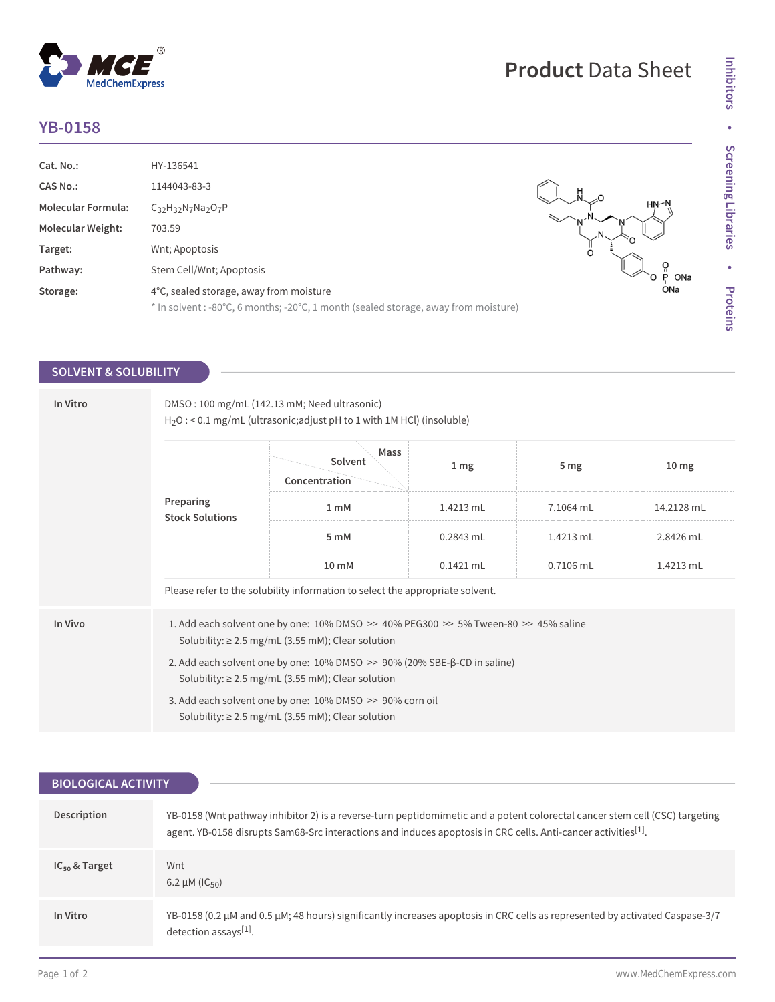## **YB-0158**

 $^{\circledR}$ 

MedChemExpress

| Cat. No.:                 | HY-136541                                                                           |         |
|---------------------------|-------------------------------------------------------------------------------------|---------|
| <b>CAS No.:</b>           | 1144043-83-3                                                                        |         |
| <b>Molecular Formula:</b> | $C_{32}H_{32}N_7Na_2O_7P$                                                           | HN∽l    |
| <b>Molecular Weight:</b>  | 703.59                                                                              |         |
| Target:                   | Wnt; Apoptosis                                                                      | $\circ$ |
| Pathway:                  | Stem Cell/Wnt; Apoptosis                                                            |         |
| Storage:                  | 4°C, sealed storage, away from moisture                                             | ONa     |
|                           | * In solvent : -80°C, 6 months; -20°C, 1 month (sealed storage, away from moisture) |         |

## **SOLVENT & SOLUBILITY**

| In Vitro | DMSO: 100 mg/mL (142.13 mM; Need ultrasonic)<br>$H_2O$ : < 0.1 mg/mL (ultrasonic; adjust pH to 1 with 1M HCl) (insoluble)                        |                                                                                                                    |                 |                 |                  |  |
|----------|--------------------------------------------------------------------------------------------------------------------------------------------------|--------------------------------------------------------------------------------------------------------------------|-----------------|-----------------|------------------|--|
|          | Preparing<br><b>Stock Solutions</b>                                                                                                              | Mass<br>Solvent<br>Concentration                                                                                   | 1 <sub>mg</sub> | 5 <sub>mg</sub> | 10 <sub>mg</sub> |  |
|          |                                                                                                                                                  | 1 <sub>m</sub> M                                                                                                   | 1.4213 mL       | 7.1064 mL       | 14.2128 mL       |  |
|          |                                                                                                                                                  | 5 mM                                                                                                               | $0.2843$ mL     | 1.4213 mL       | 2.8426 mL        |  |
|          |                                                                                                                                                  | $10 \text{ mM}$                                                                                                    | $0.1421$ mL     | $0.7106$ mL     | 1.4213 mL        |  |
|          | Please refer to the solubility information to select the appropriate solvent.                                                                    |                                                                                                                    |                 |                 |                  |  |
| In Vivo  | 1. Add each solvent one by one: 10% DMSO >> 40% PEG300 >> 5% Tween-80 >> 45% saline<br>Solubility: $\geq$ 2.5 mg/mL (3.55 mM); Clear solution    |                                                                                                                    |                 |                 |                  |  |
|          | 2. Add each solvent one by one: $10\%$ DMSO $\gg$ 90% (20% SBE- $\beta$ -CD in saline)<br>Solubility: $\geq$ 2.5 mg/mL (3.55 mM); Clear solution |                                                                                                                    |                 |                 |                  |  |
|          |                                                                                                                                                  | 3. Add each solvent one by one: 10% DMSO >> 90% corn oil<br>Solubility: $\geq$ 2.5 mg/mL (3.55 mM); Clear solution |                 |                 |                  |  |

| <b>BIOLOGICAL ACTIVITY</b> |                                                                                                                                                                                                                                                           |  |  |  |
|----------------------------|-----------------------------------------------------------------------------------------------------------------------------------------------------------------------------------------------------------------------------------------------------------|--|--|--|
| Description                | YB-0158 (Wnt pathway inhibitor 2) is a reverse-turn peptidomimetic and a potent colorectal cancer stem cell (CSC) targeting<br>agent. YB-0158 disrupts Sam68-Src interactions and induces apoptosis in CRC cells. Anti-cancer activities <sup>[1]</sup> . |  |  |  |
| $IC_{50}$ & Target         | Wnt<br>6.2 $\mu$ M (IC <sub>50</sub> )                                                                                                                                                                                                                    |  |  |  |
| In Vitro                   | YB-0158 (0.2 μM and 0.5 μM; 48 hours) significantly increases apoptosis in CRC cells as represented by activated Caspase-3/7<br>detection assays[1].                                                                                                      |  |  |  |